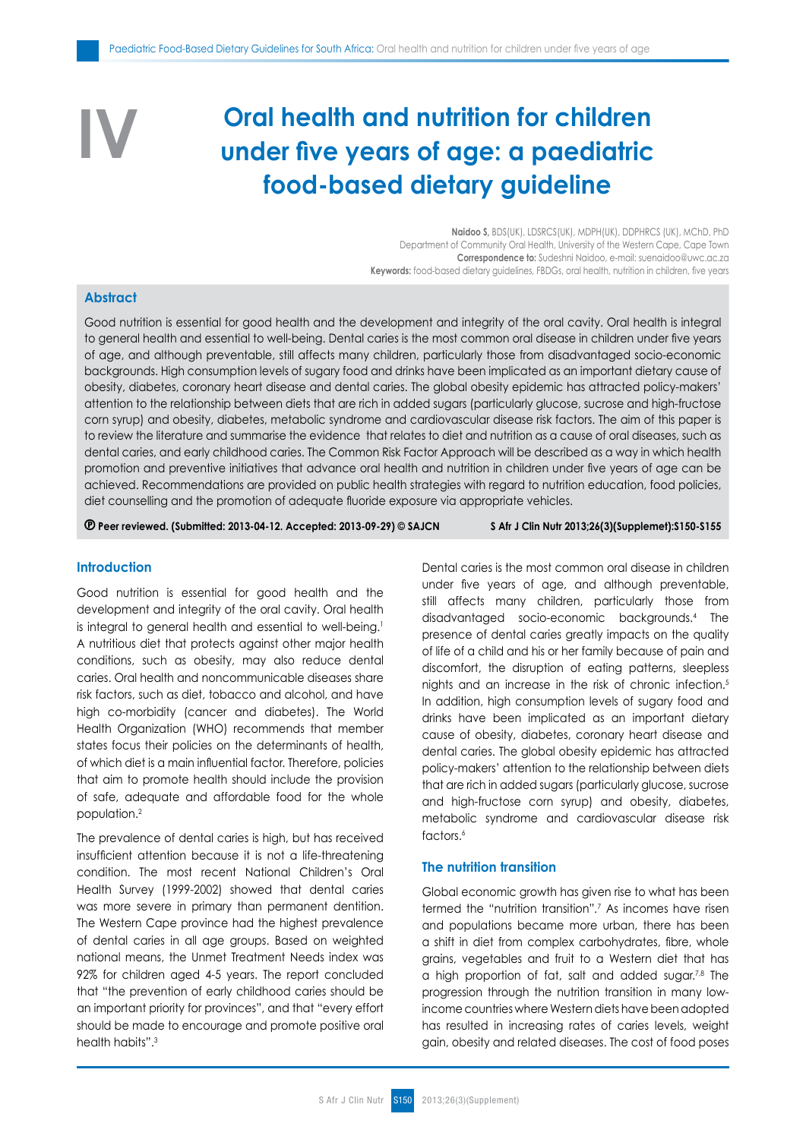# **Oral health and nutrition for children under five years of age: a paediatric food-based dietary guideline**

**Naidoo S,** BDS(UK), LDSRCS(UK), MDPH(UK), DDPHRCS (UK), MChD, PhD Department of Community Oral Health, University of the Western Cape, Cape Town **Correspondence to:** Sudeshni Naidoo, e-mail: suenaidoo@uwc.ac.za **Keywords:** food-based dietary guidelines, FBDGs, oral health, nutrition in children, five years

# **Abstract**

**IV**

Good nutrition is essential for good health and the development and integrity of the oral cavity. Oral health is integral to general health and essential to well-being. Dental caries is the most common oral disease in children under five years of age, and although preventable, still affects many children, particularly those from disadvantaged socio-economic backgrounds. High consumption levels of sugary food and drinks have been implicated as an important dietary cause of obesity, diabetes, coronary heart disease and dental caries. The global obesity epidemic has attracted policy-makers' attention to the relationship between diets that are rich in added sugars (particularly glucose, sucrose and high-fructose corn syrup) and obesity, diabetes, metabolic syndrome and cardiovascular disease risk factors. The aim of this paper is to review the literature and summarise the evidence that relates to diet and nutrition as a cause of oral diseases, such as dental caries, and early childhood caries. The Common Risk Factor Approach will be described as a way in which health promotion and preventive initiatives that advance oral health and nutrition in children under five years of age can be achieved. Recommendations are provided on public health strategies with regard to nutrition education, food policies, diet counselling and the promotion of adequate fluoride exposure via appropriate vehicles.

 **Peer reviewed. (Submitted: 2013-04-12. Accepted: 2013-09-29) © SAJCN S Afr J Clin Nutr 2013;26(3)(Supplemet):S150-S155**

## **Introduction**

Good nutrition is essential for good health and the development and integrity of the oral cavity. Oral health is integral to general health and essential to well-being.<sup>1</sup> A nutritious diet that protects against other major health conditions, such as obesity, may also reduce dental caries. Oral health and noncommunicable diseases share risk factors, such as diet, tobacco and alcohol, and have high co-morbidity (cancer and diabetes). The World Health Organization (WHO) recommends that member states focus their policies on the determinants of health, of which diet is a main influential factor. Therefore, policies that aim to promote health should include the provision of safe, adequate and affordable food for the whole population.2

The prevalence of dental caries is high, but has received insufficient attention because it is not a life-threatening condition. The most recent National Children's Oral Health Survey (1999-2002) showed that dental caries was more severe in primary than permanent dentition. The Western Cape province had the highest prevalence of dental caries in all age groups. Based on weighted national means, the Unmet Treatment Needs index was 92% for children aged 4-5 years. The report concluded that "the prevention of early childhood caries should be an important priority for provinces", and that "every effort should be made to encourage and promote positive oral health habits".3

Dental caries is the most common oral disease in children under five years of age, and although preventable, still affects many children, particularly those from disadvantaged socio-economic backgrounds.4 The presence of dental caries greatly impacts on the quality of life of a child and his or her family because of pain and discomfort, the disruption of eating patterns, sleepless nights and an increase in the risk of chronic infection.5 In addition, high consumption levels of sugary food and drinks have been implicated as an important dietary cause of obesity, diabetes, coronary heart disease and dental caries. The global obesity epidemic has attracted policy-makers' attention to the relationship between diets that are rich in added sugars (particularly glucose, sucrose and high-fructose corn syrup) and obesity, diabetes, metabolic syndrome and cardiovascular disease risk factors.<sup>6</sup>

# **The nutrition transition**

Global economic growth has given rise to what has been termed the "nutrition transition"*.* 7 As incomes have risen and populations became more urban, there has been a shift in diet from complex carbohydrates, fibre, whole grains, vegetables and fruit to a Western diet that has a high proportion of fat, salt and added sugar.<sup>7,8</sup> The progression through the nutrition transition in many lowincome countries where Western diets have been adopted has resulted in increasing rates of caries levels, weight gain, obesity and related diseases. The cost of food poses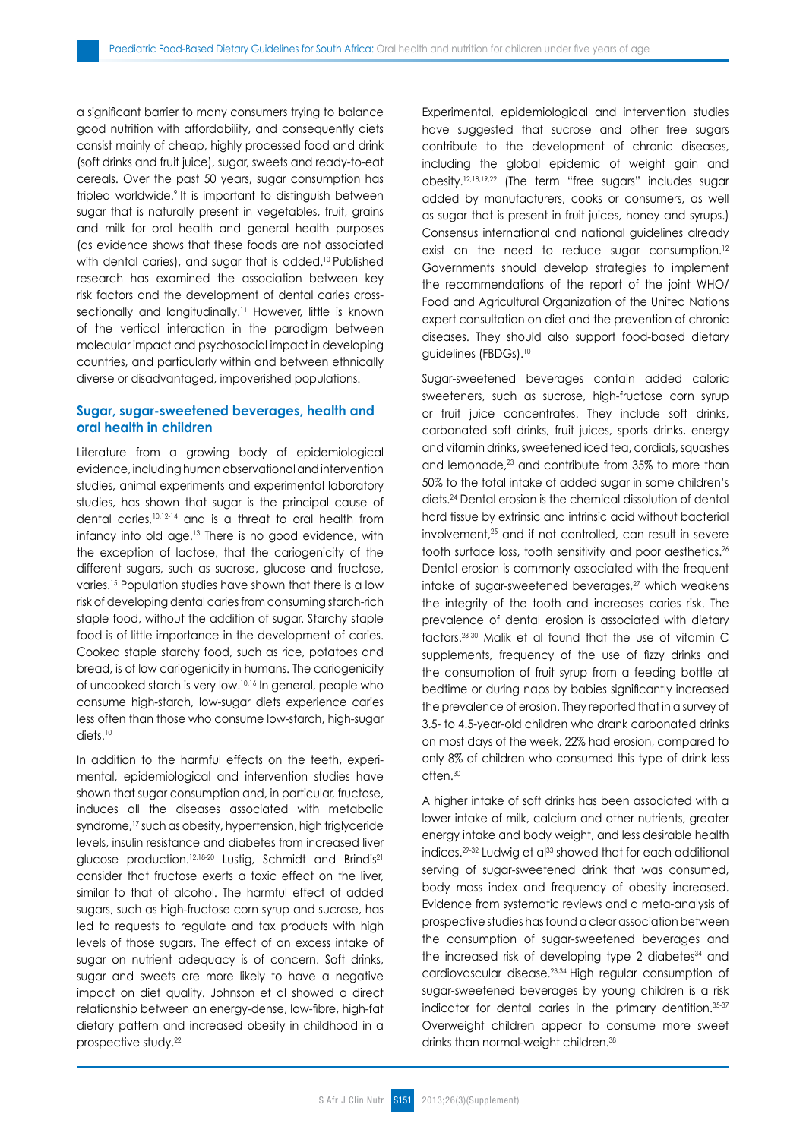a significant barrier to many consumers trying to balance good nutrition with affordability, and consequently diets consist mainly of cheap, highly processed food and drink (soft drinks and fruit juice), sugar, sweets and ready-to-eat cereals. Over the past 50 years, sugar consumption has tripled worldwide.<sup>9</sup> It is important to distinguish between sugar that is naturally present in vegetables, fruit, grains and milk for oral health and general health purposes (as evidence shows that these foods are not associated with dental caries), and sugar that is added.<sup>10</sup> Published research has examined the association between key risk factors and the development of dental caries crosssectionally and longitudinally.<sup>11</sup> However, little is known of the vertical interaction in the paradigm between molecular impact and psychosocial impact in developing countries, and particularly within and between ethnically diverse or disadvantaged, impoverished populations.

# **Sugar, sugar-sweetened beverages, health and oral health in children**

Literature from a growing body of epidemiological evidence, including human observational and intervention studies, animal experiments and experimental laboratory studies, has shown that sugar is the principal cause of dental caries,10,12-14 and is a threat to oral health from infancy into old age.13 There is no good evidence, with the exception of lactose, that the cariogenicity of the different sugars, such as sucrose, glucose and fructose, varies.15 Population studies have shown that there is a low risk of developing dental caries from consuming starch-rich staple food, without the addition of sugar. Starchy staple food is of little importance in the development of caries. Cooked staple starchy food, such as rice, potatoes and bread, is of low cariogenicity in humans. The cariogenicity of uncooked starch is very low.10,16 In general, people who consume high-starch, low-sugar diets experience caries less often than those who consume low-starch, high-sugar diets.10

In addition to the harmful effects on the teeth, experimental, epidemiological and intervention studies have shown that sugar consumption and, in particular, fructose, induces all the diseases associated with metabolic syndrome,<sup>17</sup> such as obesity, hypertension, high triglyceride levels, insulin resistance and diabetes from increased liver glucose production.<sup>12,18-20</sup> Lustig, Schmidt and Brindis<sup>21</sup> consider that fructose exerts a toxic effect on the liver, similar to that of alcohol. The harmful effect of added sugars, such as high-fructose corn syrup and sucrose, has led to requests to regulate and tax products with high levels of those sugars. The effect of an excess intake of sugar on nutrient adequacy is of concern. Soft drinks, sugar and sweets are more likely to have a negative impact on diet quality. Johnson et al showed a direct relationship between an energy-dense, low-fibre, high-fat dietary pattern and increased obesity in childhood in a prospective study.22

Experimental, epidemiological and intervention studies have suggested that sucrose and other free sugars contribute to the development of chronic diseases, including the global epidemic of weight gain and obesity.12,18,19,22 (The term "free sugars" includes sugar added by manufacturers, cooks or consumers, as well as sugar that is present in fruit juices, honey and syrups.) Consensus international and national guidelines already exist on the need to reduce sugar consumption.<sup>12</sup> Governments should develop strategies to implement the recommendations of the report of the joint WHO/ Food and Agricultural Organization of the United Nations expert consultation on diet and the prevention of chronic diseases. They should also support food-based dietary guidelines (FBDGs).10

Sugar-sweetened beverages contain added caloric sweeteners, such as sucrose, high-fructose corn syrup or fruit juice concentrates. They include soft drinks, carbonated soft drinks, fruit juices, sports drinks, energy and vitamin drinks, sweetened iced tea, cordials, squashes and lemonade,<sup>23</sup> and contribute from 35% to more than 50% to the total intake of added sugar in some children's diets.24 Dental erosion is the chemical dissolution of dental hard tissue by extrinsic and intrinsic acid without bacterial involvement,25 and if not controlled, can result in severe tooth surface loss, tooth sensitivity and poor aesthetics.<sup>26</sup> Dental erosion is commonly associated with the frequent intake of sugar-sweetened beverages,<sup>27</sup> which weakens the integrity of the tooth and increases caries risk. The prevalence of dental erosion is associated with dietary factors.28-30 Malik et al found that the use of vitamin C supplements, frequency of the use of fizzy drinks and the consumption of fruit syrup from a feeding bottle at bedtime or during naps by babies significantly increased the prevalence of erosion. They reported that in a survey of 3.5- to 4.5-year-old children who drank carbonated drinks on most days of the week, 22% had erosion, compared to only 8% of children who consumed this type of drink less often.30

A higher intake of soft drinks has been associated with a lower intake of milk, calcium and other nutrients, greater energy intake and body weight, and less desirable health indices.<sup>29-32</sup> Ludwig et al<sup>33</sup> showed that for each additional serving of sugar-sweetened drink that was consumed, body mass index and frequency of obesity increased. Evidence from systematic reviews and a meta-analysis of prospective studies has found a clear association between the consumption of sugar-sweetened beverages and the increased risk of developing type 2 diabetes<sup>34</sup> and cardiovascular disease.23,34 High regular consumption of sugar-sweetened beverages by young children is a risk indicator for dental caries in the primary dentition.35-37 Overweight children appear to consume more sweet drinks than normal-weight children.<sup>38</sup>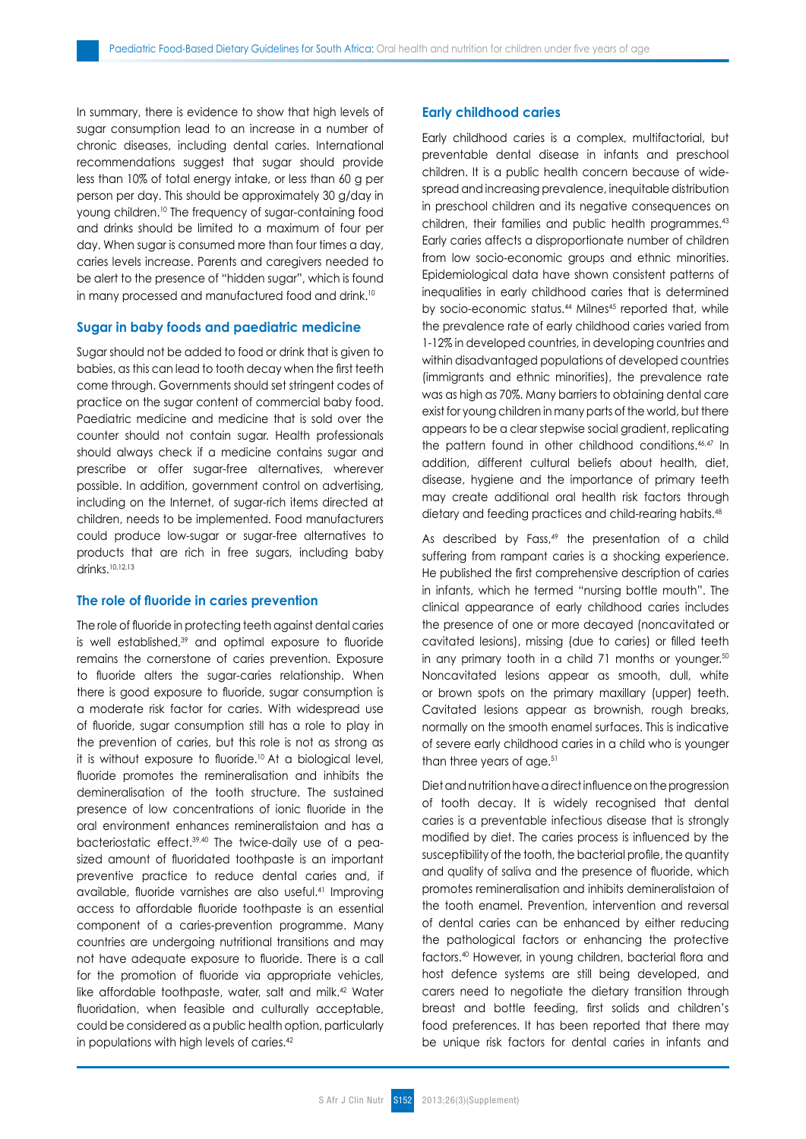In summary, there is evidence to show that high levels of sugar consumption lead to an increase in a number of chronic diseases, including dental caries. International recommendations suggest that sugar should provide less than 10% of total energy intake, or less than 60 g per person per day. This should be approximately 30 g/day in young children.10 The frequency of sugar-containing food and drinks should be limited to a maximum of four per day. When sugar is consumed more than four times a day, caries levels increase. Parents and caregivers needed to be alert to the presence of "hidden sugar", which is found in many processed and manufactured food and drink.<sup>10</sup>

#### **Sugar in baby foods and paediatric medicine**

Sugar should not be added to food or drink that is given to babies, as this can lead to tooth decay when the first teeth come through. Governments should set stringent codes of practice on the sugar content of commercial baby food. Paediatric medicine and medicine that is sold over the counter should not contain sugar. Health professionals should always check if a medicine contains sugar and prescribe or offer sugar-free alternatives, wherever possible. In addition, government control on advertising, including on the Internet, of sugar-rich items directed at children, needs to be implemented. Food manufacturers could produce low-sugar or sugar-free alternatives to products that are rich in free sugars, including baby drinks.10,12,13

## **The role of fluoride in caries prevention**

The role of fluoride in protecting teeth against dental caries is well established,39 and optimal exposure to fluoride remains the cornerstone of caries prevention. Exposure to fluoride alters the sugar-caries relationship. When there is good exposure to fluoride, sugar consumption is a moderate risk factor for caries. With widespread use of fluoride, sugar consumption still has a role to play in the prevention of caries, but this role is not as strong as it is without exposure to fluoride.10 At a biological level, fluoride promotes the remineralisation and inhibits the demineralisation of the tooth structure. The sustained presence of low concentrations of ionic fluoride in the oral environment enhances remineralistaion and has a bacteriostatic effect.39,40 The twice-daily use of a peasized amount of fluoridated toothpaste is an important preventive practice to reduce dental caries and, if available, fluoride varnishes are also useful.41 Improving access to affordable fluoride toothpaste is an essential component of a caries-prevention programme. Many countries are undergoing nutritional transitions and may not have adequate exposure to fluoride. There is a call for the promotion of fluoride via appropriate vehicles, like affordable toothpaste, water, salt and milk.42 Water fluoridation, when feasible and culturally acceptable, could be considered as a public health option, particularly in populations with high levels of caries.<sup>42</sup>

## **Early childhood caries**

Early childhood caries is a complex, multifactorial, but preventable dental disease in infants and preschool children. It is a public health concern because of widespread and increasing prevalence, inequitable distribution in preschool children and its negative consequences on children, their families and public health programmes.<sup>43</sup> Early caries affects a disproportionate number of children from low socio-economic groups and ethnic minorities. Epidemiological data have shown consistent patterns of inequalities in early childhood caries that is determined by socio-economic status.<sup>44</sup> Milnes<sup>45</sup> reported that, while the prevalence rate of early childhood caries varied from 1-12% in developed countries, in developing countries and within disadvantaged populations of developed countries (immigrants and ethnic minorities), the prevalence rate was as high as 70%. Many barriers to obtaining dental care exist for young children in many parts of the world, but there appears to be a clear stepwise social gradient, replicating the pattern found in other childhood conditions.46,47 In addition, different cultural beliefs about health, diet, disease, hygiene and the importance of primary teeth may create additional oral health risk factors through dietary and feeding practices and child-rearing habits.<sup>48</sup>

As described by Fass, $49$  the presentation of a child suffering from rampant caries is a shocking experience. He published the first comprehensive description of caries in infants, which he termed "nursing bottle mouth". The clinical appearance of early childhood caries includes the presence of one or more decayed (noncavitated or cavitated lesions), missing (due to caries) or filled teeth in any primary tooth in a child 71 months or younger.<sup>50</sup> Noncavitated lesions appear as smooth, dull, white or brown spots on the primary maxillary (upper) teeth. Cavitated lesions appear as brownish, rough breaks, normally on the smooth enamel surfaces. This is indicative of severe early childhood caries in a child who is younger than three years of age.<sup>51</sup>

Diet and nutrition have a direct influence on the progression of tooth decay. It is widely recognised that dental caries is a preventable infectious disease that is strongly modified by diet. The caries process is influenced by the susceptibility of the tooth, the bacterial profile, the quantity and quality of saliva and the presence of fluoride, which promotes remineralisation and inhibits demineralistaion of the tooth enamel. Prevention, intervention and reversal of dental caries can be enhanced by either reducing the pathological factors or enhancing the protective factors.40 However, in young children, bacterial flora and host defence systems are still being developed, and carers need to negotiate the dietary transition through breast and bottle feeding, first solids and children's food preferences. It has been reported that there may be unique risk factors for dental caries in infants and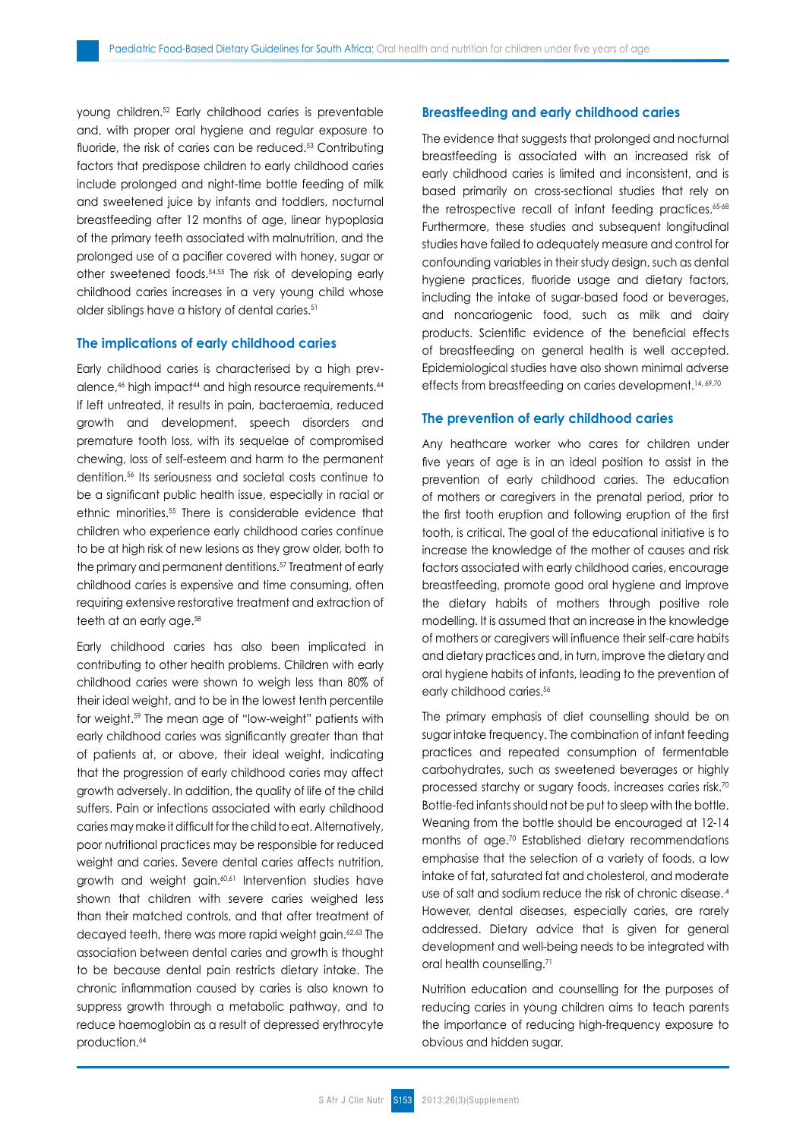young children.52 Early childhood caries is preventable and, with proper oral hygiene and regular exposure to fluoride, the risk of caries can be reduced.<sup>53</sup> Contributing factors that predispose children to early childhood caries include prolonged and night-time bottle feeding of milk and sweetened juice by infants and toddlers, nocturnal breastfeeding after 12 months of age, linear hypoplasia of the primary teeth associated with malnutrition, and the prolonged use of a pacifier covered with honey, sugar or other sweetened foods.54,55 The risk of developing early childhood caries increases in a very young child whose older siblings have a history of dental caries.<sup>51</sup>

#### **The implications of early childhood caries**

Early childhood caries is characterised by a high prevalence,<sup>46</sup> high impact<sup>44</sup> and high resource requirements.<sup>44</sup> If left untreated, it results in pain, bacteraemia, reduced growth and development, speech disorders and premature tooth loss, with its sequelae of compromised chewing, loss of self-esteem and harm to the permanent dentition.56 Its seriousness and societal costs continue to be a significant public health issue, especially in racial or ethnic minorities.55 There is considerable evidence that children who experience early childhood caries continue to be at high risk of new lesions as they grow older, both to the primary and permanent dentitions.57 Treatment of early childhood caries is expensive and time consuming, often requiring extensive restorative treatment and extraction of teeth at an early age.<sup>58</sup>

Early childhood caries has also been implicated in contributing to other health problems. Children with early childhood caries were shown to weigh less than 80% of their ideal weight, and to be in the lowest tenth percentile for weight.59 The mean age of "low-weight" patients with early childhood caries was significantly greater than that of patients at, or above, their ideal weight, indicating that the progression of early childhood caries may affect growth adversely. In addition, the quality of life of the child suffers. Pain or infections associated with early childhood caries may make it difficult for the child to eat. Alternatively, poor nutritional practices may be responsible for reduced weight and caries. Severe dental caries affects nutrition, growth and weight gain.<sup>60,61</sup> Intervention studies have shown that children with severe caries weighed less than their matched controls, and that after treatment of decayed teeth, there was more rapid weight gain.<sup>62,63</sup> The association between dental caries and growth is thought to be because dental pain restricts dietary intake. The chronic inflammation caused by caries is also known to suppress growth through a metabolic pathway, and to reduce haemoglobin as a result of depressed erythrocyte production.<sup>64</sup>

## **Breastfeeding and early childhood caries**

The evidence that suggests that prolonged and nocturnal breastfeeding is associated with an increased risk of early childhood caries is limited and inconsistent, and is based primarily on cross-sectional studies that rely on the retrospective recall of infant feeding practices.<sup>65-68</sup> Furthermore, these studies and subsequent longitudinal studies have failed to adequately measure and control for confounding variables in their study design, such as dental hygiene practices, fluoride usage and dietary factors, including the intake of sugar-based food or beverages, and noncariogenic food, such as milk and dairy products. Scientific evidence of the beneficial effects of breastfeeding on general health is well accepted. Epidemiological studies have also shown minimal adverse effects from breastfeeding on caries development.<sup>14, 69,70</sup>

#### **The prevention of early childhood caries**

Any heathcare worker who cares for children under five years of age is in an ideal position to assist in the prevention of early childhood caries. The education of mothers or caregivers in the prenatal period, prior to the first tooth eruption and following eruption of the first tooth, is critical. The goal of the educational initiative is to increase the knowledge of the mother of causes and risk factors associated with early childhood caries, encourage breastfeeding, promote good oral hygiene and improve the dietary habits of mothers through positive role modelling. It is assumed that an increase in the knowledge of mothers or caregivers will influence their self-care habits and dietary practices and, in turn, improve the dietary and oral hygiene habits of infants, leading to the prevention of early childhood caries.<sup>56</sup>

The primary emphasis of diet counselling should be on sugar intake frequency. The combination of infant feeding practices and repeated consumption of fermentable carbohydrates, such as sweetened beverages or highly processed starchy or sugary foods, increases caries risk.70 Bottle-fed infants should not be put to sleep with the bottle. Weaning from the bottle should be encouraged at 12-14 months of age.70 Established dietary recommendations emphasise that the selection of a variety of foods, a low intake of fat, saturated fat and cholesterol, and moderate use of salt and sodium reduce the risk of chronic disease..4 However, dental diseases, especially caries, are rarely addressed. Dietary advice that is given for general development and well-being needs to be integrated with oral health counselling.<sup>71</sup>

Nutrition education and counselling for the purposes of reducing caries in young children aims to teach parents the importance of reducing high-frequency exposure to obvious and hidden sugar.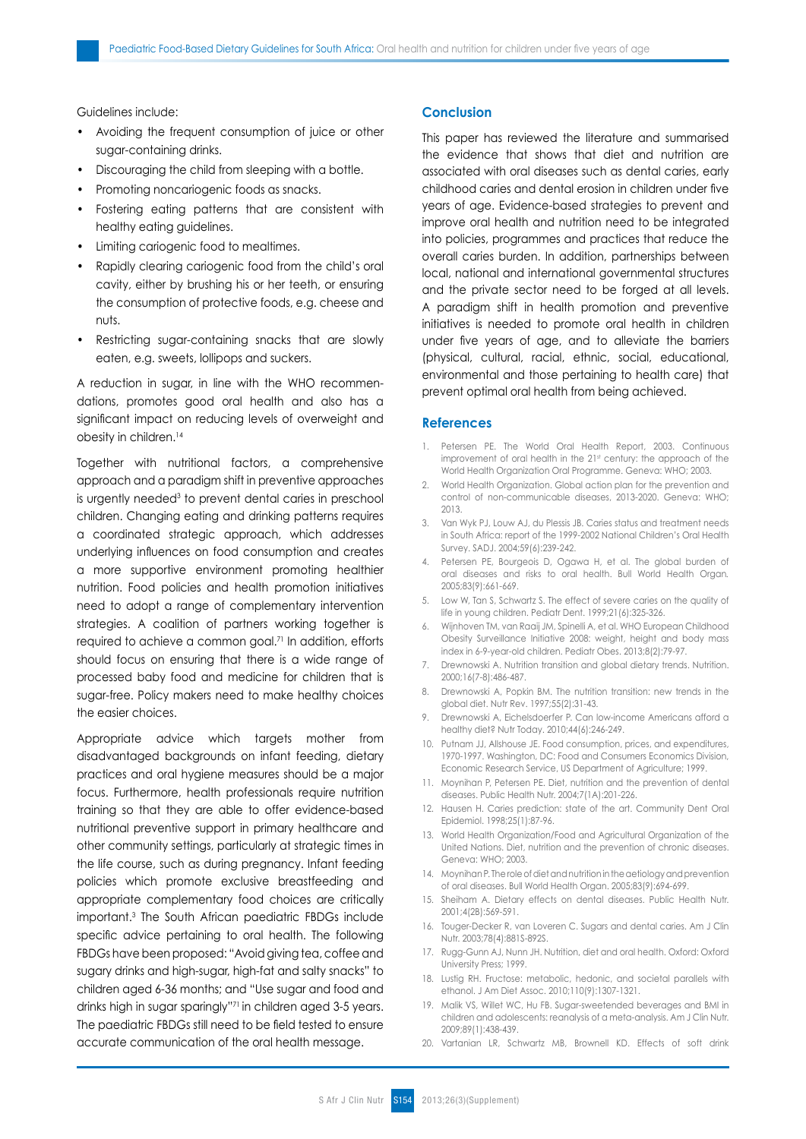Guidelines include:

- Avoiding the frequent consumption of juice or other sugar-containing drinks.
- Discouraging the child from sleeping with a bottle.
- Promoting noncariogenic foods as snacks.
- Fostering eating patterns that are consistent with healthy eating guidelines.
- Limiting cariogenic food to mealtimes.
- Rapidly clearing cariogenic food from the child's oral cavity, either by brushing his or her teeth, or ensuring the consumption of protective foods, e.g. cheese and nuts.
- Restricting sugar-containing snacks that are slowly eaten, e.g. sweets, lollipops and suckers.

A reduction in sugar, in line with the WHO recommendations, promotes good oral health and also has a significant impact on reducing levels of overweight and obesity in children.<sup>14</sup>

Together with nutritional factors, a comprehensive approach and a paradigm shift in preventive approaches is urgently needed<sup>3</sup> to prevent dental caries in preschool children. Changing eating and drinking patterns requires a coordinated strategic approach, which addresses underlying influences on food consumption and creates a more supportive environment promoting healthier nutrition. Food policies and health promotion initiatives need to adopt a range of complementary intervention strategies. A coalition of partners working together is required to achieve a common goal.<sup>71</sup> In addition, efforts should focus on ensuring that there is a wide range of processed baby food and medicine for children that is sugar-free. Policy makers need to make healthy choices the easier choices.

Appropriate advice which targets mother from disadvantaged backgrounds on infant feeding, dietary practices and oral hygiene measures should be a major focus. Furthermore, health professionals require nutrition training so that they are able to offer evidence-based nutritional preventive support in primary healthcare and other community settings, particularly at strategic times in the life course, such as during pregnancy. Infant feeding policies which promote exclusive breastfeeding and appropriate complementary food choices are critically important.3 The South African paediatric FBDGs include specific advice pertaining to oral health. The following FBDGs have been proposed: "Avoid giving tea, coffee and sugary drinks and high-sugar, high-fat and salty snacks" to children aged 6-36 months; and "Use sugar and food and drinks high in sugar sparingly"71 in children aged 3-5 years. The paediatric FBDGs still need to be field tested to ensure accurate communication of the oral health message.

### **Conclusion**

This paper has reviewed the literature and summarised the evidence that shows that diet and nutrition are associated with oral diseases such as dental caries, early childhood caries and dental erosion in children under five years of age. Evidence-based strategies to prevent and improve oral health and nutrition need to be integrated into policies, programmes and practices that reduce the overall caries burden. In addition, partnerships between local, national and international governmental structures and the private sector need to be forged at all levels. A paradigm shift in health promotion and preventive initiatives is needed to promote oral health in children under five years of age, and to alleviate the barriers (physical, cultural, racial, ethnic, social, educational, environmental and those pertaining to health care) that prevent optimal oral health from being achieved.

#### **References**

- 1. Petersen PE. The World Oral Health Report, 2003. Continuous improvement of oral health in the 21st century: the approach of the World Health Organization Oral Programme. Geneva: WHO; 2003.
- 2. World Health Organization. Global action plan for the prevention and control of non-communicable diseases, 2013-2020. Geneva: WHO; 2013.
- 3. Van Wyk PJ, Louw AJ, du Plessis JB. Caries status and treatment needs in South Africa: report of the 1999-2002 National Children's Oral Health Survey. SADJ. 2004;59(6):239-242.
- 4. Petersen PE, Bourgeois D, Ogawa H, et al. The global burden of oral diseases and risks to oral health. Bull World Health Organ*.* 2005;83(9):661-669.
- 5. Low W, Tan S, Schwartz S. The effect of severe caries on the quality of life in young children. Pediatr Dent. 1999;21(6):325-326.
- 6. Wijnhoven TM, van Raaij JM, Spinelli A, et al. WHO European Childhood Obesity Surveillance Initiative 2008: weight, height and body mass index in 6-9-year-old children. Pediatr Obes. 2013;8(2):79-97.
- 7. Drewnowski A. Nutrition transition and global dietary trends. Nutrition. 2000;16(7-8):486-487.
- 8. Drewnowski A, Popkin BM. The nutrition transition: new trends in the global diet. Nutr Rev. 1997;55(2):31-43.
- 9. Drewnowski A, Eichelsdoerfer P. Can low-income Americans afford a healthy diet? Nutr Today. 2010;44(6):246-249.
- 10. Putnam JJ, Allshouse JE. Food consumption, prices, and expenditures, 1970-1997. Washington, DC: Food and Consumers Economics Division, Economic Research Service, US Department of Agriculture; 1999.
- 11. Moynihan P, Petersen PE. Diet, nutrition and the prevention of dental diseases. Public Health Nutr. 2004;7(1A):201-226.
- 12. Hausen H. Caries prediction: state of the art. Community Dent Oral Epidemiol. 1998;25(1):87-96.
- 13. World Health Organization/Food and Agricultural Organization of the United Nations. Diet, nutrition and the prevention of chronic diseases. Geneva: WHO; 2003.
- 14. Moynihan P. The role of diet and nutrition in the aetiology and prevention of oral diseases. Bull World Health Organ. 2005;83(9):694-699.
- 15. Sheiham A. Dietary effects on dental diseases. Public Health Nutr. 2001;4(2B):569-591.
- 16. Touger-Decker R, van Loveren C. Sugars and dental caries. Am J Clin Nutr. 2003;78(4):881S-892S.
- 17. Rugg-Gunn AJ, Nunn JH. Nutrition, diet and oral health. Oxford: Oxford University Press; 1999.
- 18. Lustig RH. Fructose: metabolic, hedonic, and societal parallels with ethanol. J Am Diet Assoc. 2010;110(9):1307-1321.
- 19. Malik VS, Willet WC, Hu FB. Sugar-sweetended beverages and BMI in children and adolescents: reanalysis of a meta-analysis. Am J Clin Nutr. 2009;89(1):438-439.
- 20. Vartanian LR, Schwartz MB, Brownell KD. Effects of soft drink